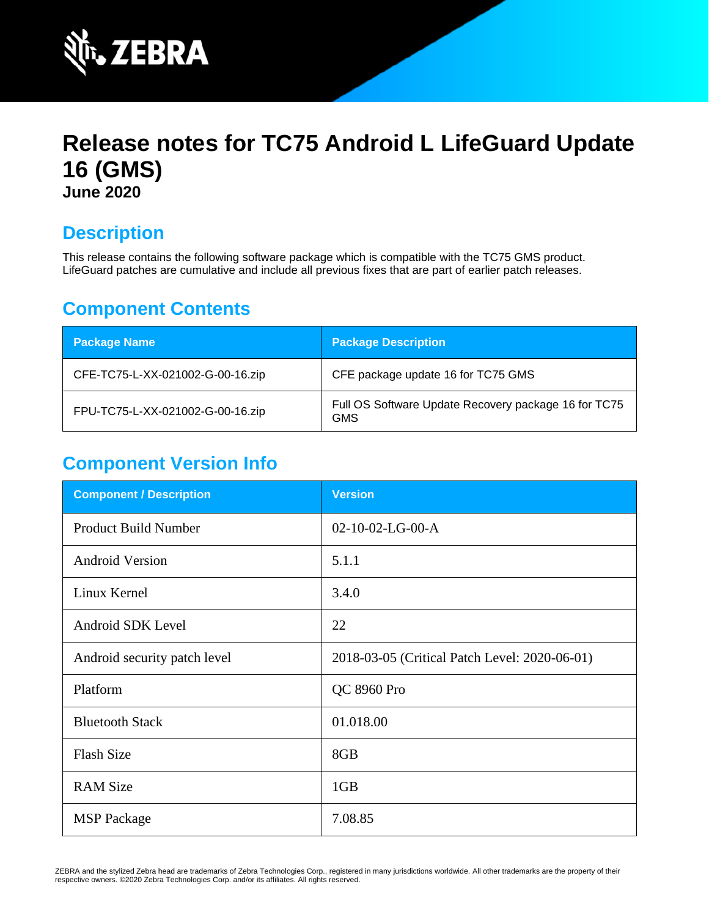

# **Release notes for TC75 Android L LifeGuard Update 16 (GMS) June 2020**

## **Description**

This release contains the following software package which is compatible with the TC75 GMS product. LifeGuard patches are cumulative and include all previous fixes that are part of earlier patch releases.

## **Component Contents**

| <b>Package Name</b>              | <b>Package Description</b>                                         |
|----------------------------------|--------------------------------------------------------------------|
| CFE-TC75-L-XX-021002-G-00-16.zip | CFE package update 16 for TC75 GMS                                 |
| FPU-TC75-L-XX-021002-G-00-16.zip | Full OS Software Update Recovery package 16 for TC75<br><b>GMS</b> |

## **Component Version Info**

| <b>Component / Description</b> | <b>Version</b>                                |
|--------------------------------|-----------------------------------------------|
| <b>Product Build Number</b>    | $02-10-02-LG-00-A$                            |
| <b>Android Version</b>         | 5.1.1                                         |
| Linux Kernel                   | 3.4.0                                         |
| Android SDK Level              | 22                                            |
| Android security patch level   | 2018-03-05 (Critical Patch Level: 2020-06-01) |
| Platform                       | QC 8960 Pro                                   |
| <b>Bluetooth Stack</b>         | 01.018.00                                     |
| <b>Flash Size</b>              | 8GB                                           |
| <b>RAM Size</b>                | 1GB                                           |
| <b>MSP</b> Package             | 7.08.85                                       |

ZEBRA and the stylized Zebra head are trademarks of Zebra Technologies Corp., registered in many jurisdictions worldwide. All other trademarks are the property of their respective owners. ©2020 Zebra Technologies Corp. and/or its affiliates. All rights reserved.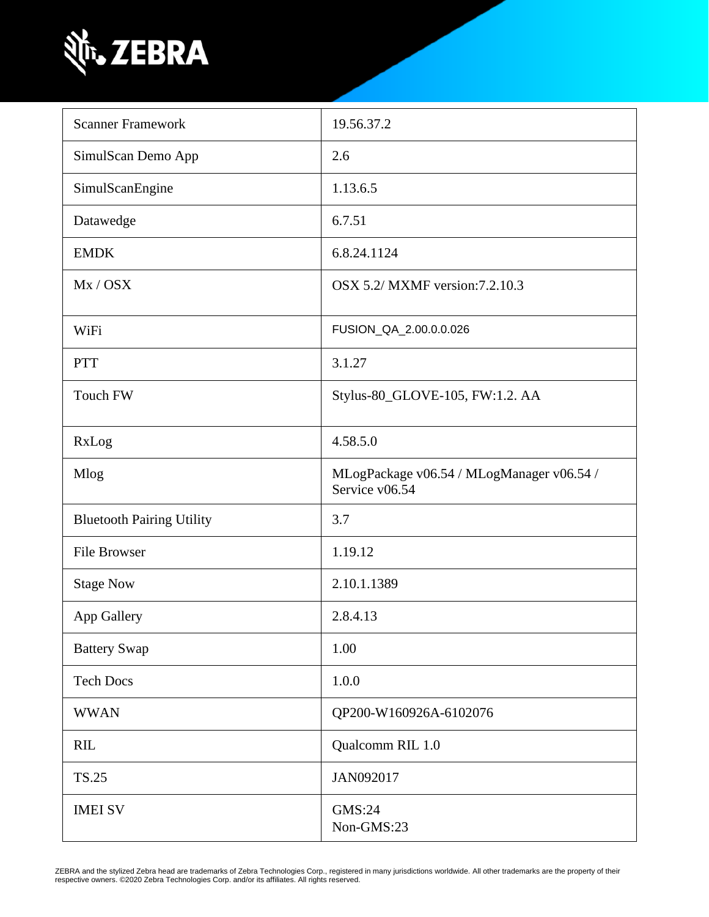

| <b>Scanner Framework</b>         | 19.56.37.2                                                  |
|----------------------------------|-------------------------------------------------------------|
| SimulScan Demo App               | 2.6                                                         |
| SimulScanEngine                  | 1.13.6.5                                                    |
| Datawedge                        | 6.7.51                                                      |
| <b>EMDK</b>                      | 6.8.24.1124                                                 |
| Mx / OSX                         | OSX 5.2/ MXMF version: 7.2.10.3                             |
| WiFi                             | FUSION_QA_2.00.0.0.026                                      |
| <b>PTT</b>                       | 3.1.27                                                      |
| Touch FW                         | Stylus-80_GLOVE-105, FW:1.2. AA                             |
| RxLog                            | 4.58.5.0                                                    |
| <b>Mlog</b>                      | MLogPackage v06.54 / MLogManager v06.54 /<br>Service v06.54 |
| <b>Bluetooth Pairing Utility</b> | 3.7                                                         |
| <b>File Browser</b>              | 1.19.12                                                     |
| <b>Stage Now</b>                 | 2.10.1.1389                                                 |
| App Gallery                      | 2.8.4.13                                                    |
| <b>Battery Swap</b>              | 1.00                                                        |
| <b>Tech Docs</b>                 | 1.0.0                                                       |
| <b>WWAN</b>                      | QP200-W160926A-6102076                                      |
| <b>RIL</b>                       | Qualcomm RIL 1.0                                            |
| <b>TS.25</b>                     | JAN092017                                                   |
| <b>IMEI SV</b>                   | GMS:24<br>Non-GMS:23                                        |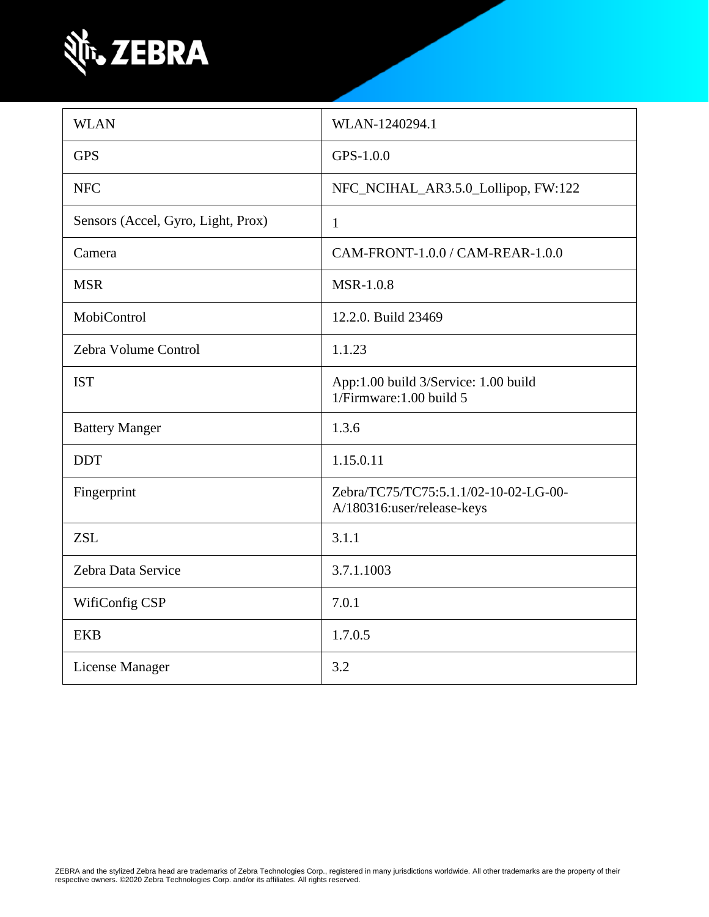

| <b>WLAN</b>                        | WLAN-1240294.1                                                      |
|------------------------------------|---------------------------------------------------------------------|
| <b>GPS</b>                         | GPS-1.0.0                                                           |
| <b>NFC</b>                         | NFC_NCIHAL_AR3.5.0_Lollipop, FW:122                                 |
| Sensors (Accel, Gyro, Light, Prox) | $\mathbf{1}$                                                        |
| Camera                             | CAM-FRONT-1.0.0 / CAM-REAR-1.0.0                                    |
| <b>MSR</b>                         | <b>MSR-1.0.8</b>                                                    |
| MobiControl                        | 12.2.0. Build 23469                                                 |
| Zebra Volume Control               | 1.1.23                                                              |
| <b>IST</b>                         | App:1.00 build 3/Service: 1.00 build<br>1/Firmware: 1.00 build 5    |
| <b>Battery Manger</b>              | 1.3.6                                                               |
| <b>DDT</b>                         | 1.15.0.11                                                           |
| Fingerprint                        | Zebra/TC75/TC75:5.1.1/02-10-02-LG-00-<br>A/180316:user/release-keys |
| <b>ZSL</b>                         | 3.1.1                                                               |
| Zebra Data Service                 | 3.7.1.1003                                                          |
| WifiConfig CSP                     | 7.0.1                                                               |
| <b>EKB</b>                         | 1.7.0.5                                                             |
| License Manager                    | 3.2                                                                 |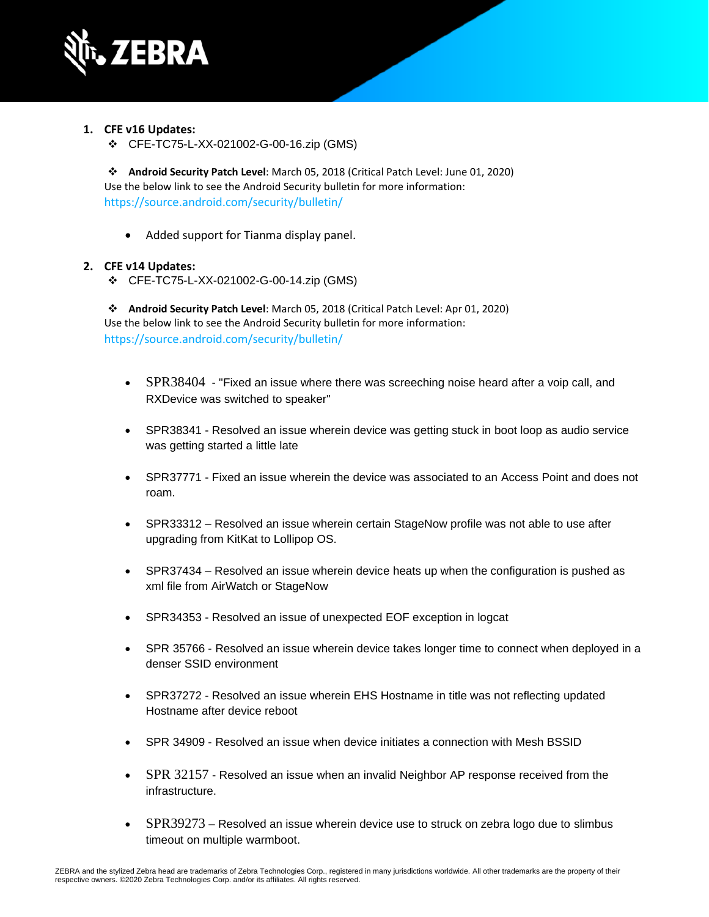

- **1. CFE v16 Updates:**
	- ❖ CFE-TC75-L-XX-021002-G-00-16.zip (GMS)

❖ **Android Security Patch Level**: March 05, 2018 (Critical Patch Level: June 01, 2020) Use the below link to see the Android Security bulletin for more information: <https://source.android.com/security/bulletin/>

• Added support for Tianma display panel.

### **2. CFE v14 Updates:**

❖ CFE-TC75-L-XX-021002-G-00-14.zip (GMS)

❖ **Android Security Patch Level**: March 05, 2018 (Critical Patch Level: Apr 01, 2020) Use the below link to see the Android Security bulletin for more information: <https://source.android.com/security/bulletin/>

- [SPR38404](https://jiraemv.zebra.com/browse/BSPA-131963) "Fixed an issue where there was screeching noise heard after a voip call, and RXDevice was switched to speaker"
- SPR38341 Resolved an issue wherein device was getting stuck in boot loop as audio service was getting started a little late
- SPR37771 Fixed an issue wherein the device was associated to an Access Point and does not roam.
- SPR33312 Resolved an issue wherein certain StageNow profile was not able to use after upgrading from KitKat to Lollipop OS.
- SPR37434 Resolved an issue wherein device heats up when the configuration is pushed as xml file from AirWatch or StageNow
- SPR34353 Resolved an issue of unexpected EOF exception in logcat
- SPR 35766 Resolved an issue wherein device takes longer time to connect when deployed in a denser SSID environment
- SPR37272 Resolved an issue wherein EHS Hostname in title was not reflecting updated Hostname after device reboot
- SPR 34909 Resolved an issue when device initiates a connection with Mesh BSSID
- [SPR 32157](https://jiraemv.zebra.com/browse/BSPA-86471) Resolved an issue when an invalid Neighbor AP response received from the infrastructure.
- [SPR39273](https://jiraemv.zebra.com/browse/BSPA-142071) Resolved an issue wherein device use to struck on zebra logo due to slimbus timeout on multiple warmboot.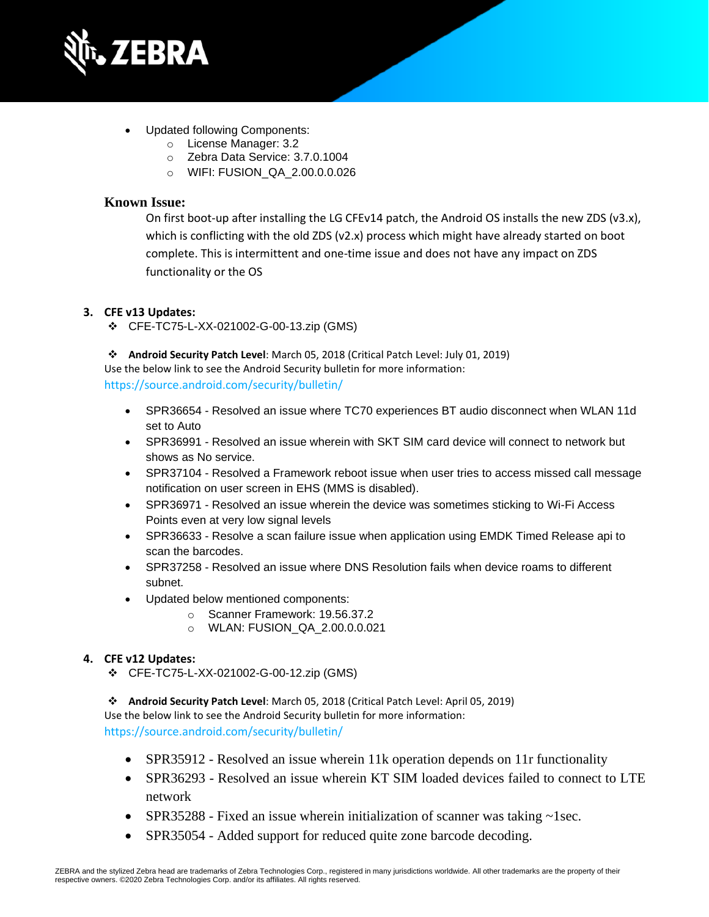

- Updated following Components:
	- o License Manager: 3.2
	- o Zebra Data Service: 3.7.0.1004
	- o WIFI: FUSION\_QA\_2.00.0.0.026

## **Known Issue:**

On first boot-up after installing the LG CFEv14 patch, the Android OS installs the new ZDS (v3.x), which is conflicting with the old ZDS (v2.x) process which might have already started on boot complete. This is intermittent and one-time issue and does not have any impact on ZDS functionality or the OS

### **3. CFE v13 Updates:**

❖ CFE-TC75-L-XX-021002-G-00-13.zip (GMS)

❖ **Android Security Patch Level**: March 05, 2018 (Critical Patch Level: July 01, 2019) Use the below link to see the Android Security bulletin for more information: <https://source.android.com/security/bulletin/>

- SPR36654 Resolved an issue where TC70 experiences BT audio disconnect when WLAN 11d set to Auto
- SPR36991 Resolved an issue wherein with SKT SIM card device will connect to network but shows as No service.
- SPR37104 Resolved a Framework reboot issue when user tries to access missed call message notification on user screen in EHS (MMS is disabled).
- SPR36971 Resolved an issue wherein the device was sometimes sticking to Wi-Fi Access Points even at very low signal levels
- SPR36633 Resolve a scan failure issue when application using EMDK Timed Release api to scan the barcodes.
- SPR37258 Resolved an issue where DNS Resolution fails when device roams to different subnet.
- Updated below mentioned components:
	- o Scanner Framework: 19.56.37.2
	- o WLAN: FUSION\_QA\_2.00.0.0.021

### **4. CFE v12 Updates:**

❖ CFE-TC75-L-XX-021002-G-00-12.zip (GMS)

❖ **Android Security Patch Level**: March 05, 2018 (Critical Patch Level: April 05, 2019) Use the below link to see the Android Security bulletin for more information: <https://source.android.com/security/bulletin/>

- SPR35912 Resolved an issue wherein 11k operation depends on 11r functionality
- SPR36293 Resolved an issue wherein KT SIM loaded devices failed to connect to LTE network
- SPR35288 Fixed an issue wherein initialization of scanner was taking  $\sim$ 1sec.
- SPR35054 Added support for reduced quite zone barcode decoding.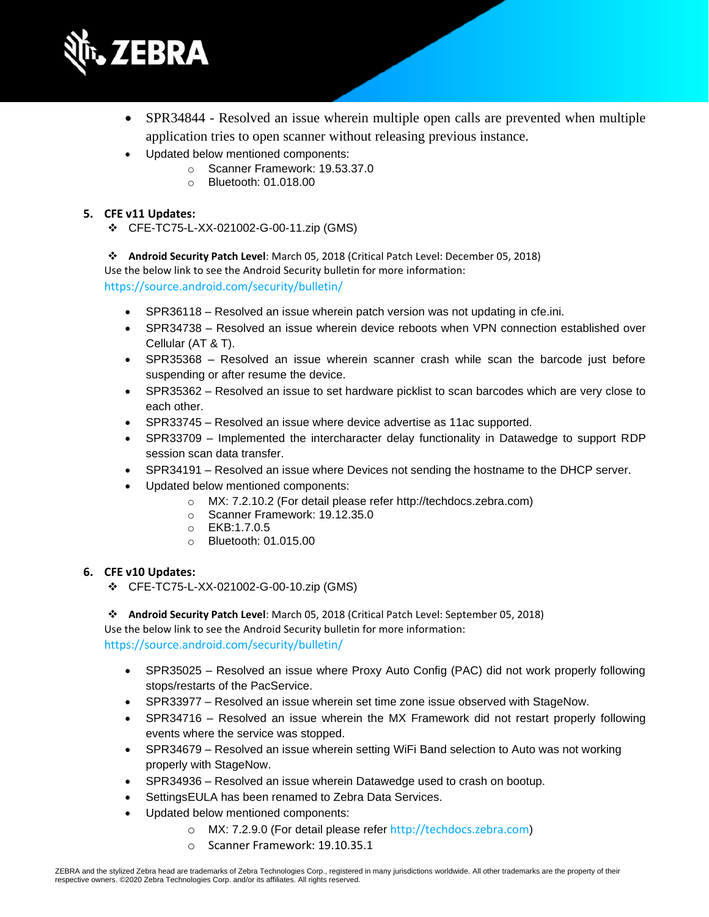

- SPR34844 Resolved an issue wherein multiple open calls are prevented when multiple application tries to open scanner without releasing previous instance.
- Updated below mentioned components:
	- o Scanner Framework: 19.53.37.0
	- o Bluetooth: 01.018.00

## **5. CFE v11 Updates:**

❖ CFE-TC75-L-XX-021002-G-00-11.zip (GMS)

❖ **Android Security Patch Level**: March 05, 2018 (Critical Patch Level: December 05, 2018) Use the below link to see the Android Security bulletin for more information: <https://source.android.com/security/bulletin/>

- SPR36118 Resolved an issue wherein patch version was not updating in cfe.ini.
- SPR34738 Resolved an issue wherein device reboots when VPN connection established over Cellular (AT & T).
- SPR35368 Resolved an issue wherein scanner crash while scan the barcode just before suspending or after resume the device.
- SPR35362 Resolved an issue to set hardware picklist to scan barcodes which are very close to each other.
- SPR33745 Resolved an issue where device advertise as 11ac supported.
- SPR33709 Implemented the intercharacter delay functionality in Datawedge to support RDP session scan data transfer.
- SPR34191 Resolved an issue where Devices not sending the hostname to the DHCP server.
- Updated below mentioned components:
	- o MX: 7.2.10.2 (For detail please refer [http://techdocs.zebra.com\)](http://techdocs.zebra.com/)
	- o Scanner Framework: 19.12.35.0
	- o EKB:1.7.0.5
	- o Bluetooth: 01.015.00

### **6. CFE v10 Updates:**

❖ CFE-TC75-L-XX-021002-G-00-10.zip (GMS)

❖ **Android Security Patch Level**: March 05, 2018 (Critical Patch Level: September 05, 2018) Use the below link to see the Android Security bulletin for more information: <https://source.android.com/security/bulletin/>

- SPR35025 Resolved an issue where Proxy Auto Config (PAC) did not work properly following stops/restarts of the PacService.
- SPR33977 Resolved an issue wherein set time zone issue observed with StageNow.
- SPR34716 Resolved an issue wherein the MX Framework did not restart properly following events where the service was stopped.
- SPR34679 Resolved an issue wherein setting WiFi Band selection to Auto was not working properly with StageNow.
- SPR34936 Resolved an issue wherein Datawedge used to crash on bootup.
- SettingsEULA has been renamed to Zebra Data Services.
- Updated below mentioned components:
	- o MX: 7.2.9.0 (For detail please refer [http://techdocs.zebra.com](http://techdocs.zebra.com/))
	- o Scanner Framework: 19.10.35.1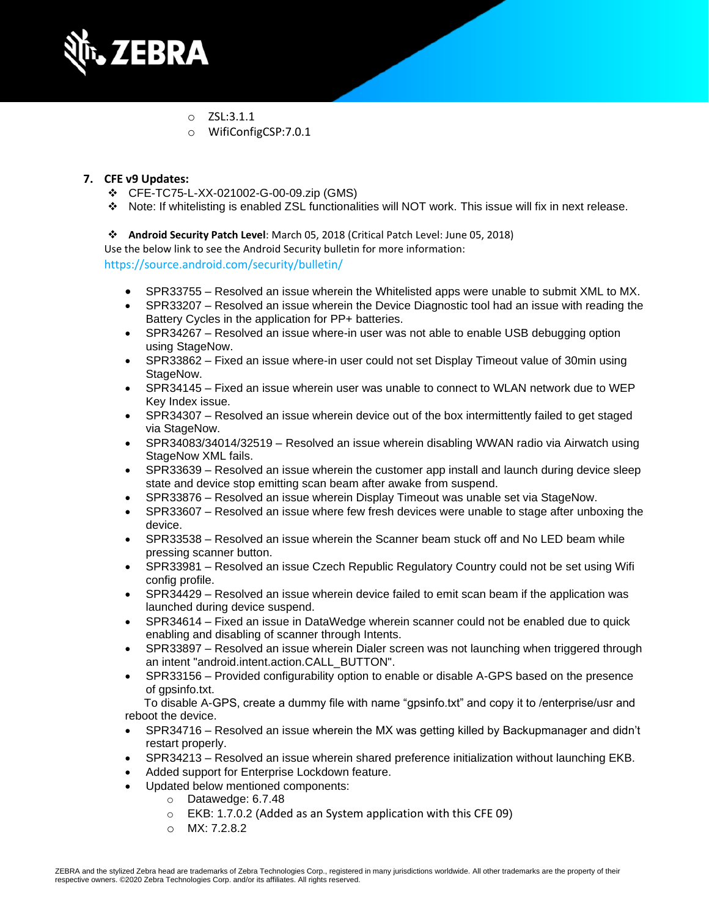

- o ZSL:3.1.1
- o WifiConfigCSP:7.0.1

## **7. CFE v9 Updates:**

- ❖ CFE-TC75-L-XX-021002-G-00-09.zip (GMS)
- ❖ Note: If whitelisting is enabled ZSL functionalities will NOT work. This issue will fix in next release.

❖ **Android Security Patch Level**: March 05, 2018 (Critical Patch Level: June 05, 2018)

Use the below link to see the Android Security bulletin for more information:

<https://source.android.com/security/bulletin/>

- SPR33755 Resolved an issue wherein the Whitelisted apps were unable to submit XML to MX.
- SPR33207 Resolved an issue wherein the Device Diagnostic tool had an issue with reading the Battery Cycles in the application for PP+ batteries.
- SPR34267 Resolved an issue where-in user was not able to enable USB debugging option using StageNow.
- SPR33862 Fixed an issue where-in user could not set Display Timeout value of 30min using StageNow.
- SPR34145 Fixed an issue wherein user was unable to connect to WLAN network due to WEP Key Index issue.
- SPR34307 Resolved an issue wherein device out of the box intermittently failed to get staged via StageNow.
- SPR34083/34014/32519 Resolved an issue wherein disabling WWAN radio via Airwatch using StageNow XML fails.
- SPR33639 Resolved an issue wherein the customer app install and launch during device sleep state and device stop emitting scan beam after awake from suspend.
- SPR33876 Resolved an issue wherein Display Timeout was unable set via StageNow.
- SPR33607 Resolved an issue where few fresh devices were unable to stage after unboxing the device.
- SPR33538 Resolved an issue wherein the Scanner beam stuck off and No LED beam while pressing scanner button.
- SPR33981 Resolved an issue Czech Republic Regulatory Country could not be set using Wifi config profile.
- SPR34429 Resolved an issue wherein device failed to emit scan beam if the application was launched during device suspend.
- SPR34614 Fixed an issue in DataWedge wherein scanner could not be enabled due to quick enabling and disabling of scanner through Intents.
- SPR33897 Resolved an issue wherein Dialer screen was not launching when triggered through an intent "android.intent.action.CALL\_BUTTON".
- SPR33156 Provided configurability option to enable or disable A-GPS based on the presence of gpsinfo.txt.

 To disable A-GPS, create a dummy file with name "gpsinfo.txt" and copy it to /enterprise/usr and reboot the device.

- SPR34716 Resolved an issue wherein the MX was getting killed by Backupmanager and didn't restart properly.
- SPR34213 Resolved an issue wherein shared preference initialization without launching EKB.
- Added support for Enterprise Lockdown feature.
- Updated below mentioned components:
	- o Datawedge: 6.7.48
	- $\circ$  EKB: 1.7.0.2 (Added as an System application with this CFE 09)
	- o MX: 7.2.8.2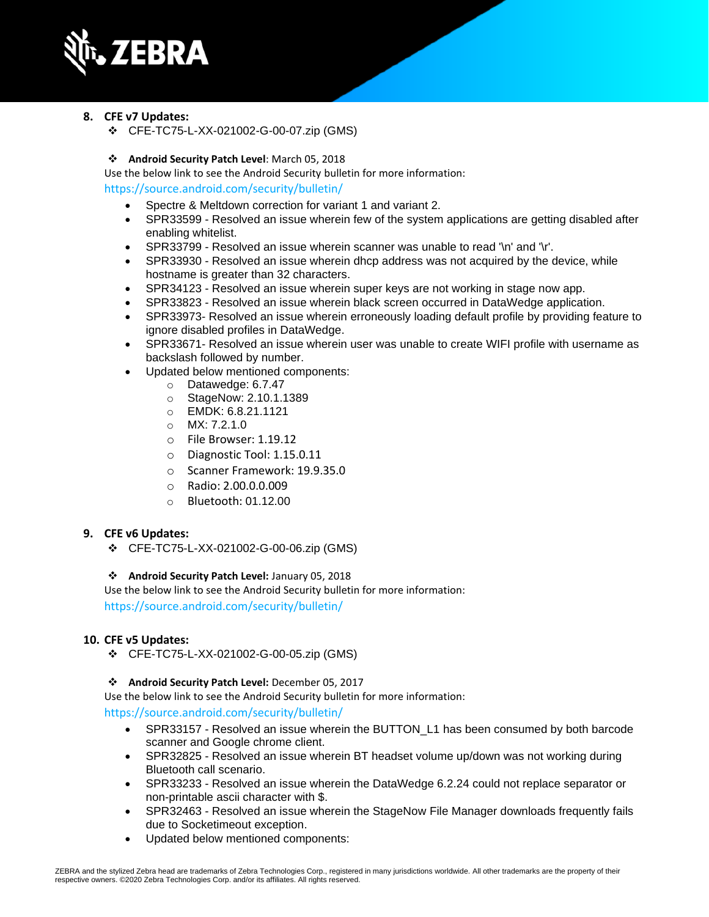

### **8. CFE v7 Updates:**

❖ CFE-TC75-L-XX-021002-G-00-07.zip (GMS)

### ❖ **Android Security Patch Level**: March 05, 2018

Use the below link to see the Android Security bulletin for more information: <https://source.android.com/security/bulletin/>

- Spectre & Meltdown correction for variant 1 and variant 2.
- SPR33599 Resolved an issue wherein few of the system applications are getting disabled after enabling whitelist.
- SPR33799 Resolved an issue wherein scanner was unable to read '\n' and '\r'.
- SPR33930 Resolved an issue wherein dhcp address was not acquired by the device, while hostname is greater than 32 characters.
- SPR34123 Resolved an issue wherein super keys are not working in stage now app.
- SPR33823 Resolved an issue wherein black screen occurred in DataWedge application.
- SPR33973- Resolved an issue wherein erroneously loading default profile by providing feature to ignore disabled profiles in DataWedge.
- SPR33671- Resolved an issue wherein user was unable to create WIFI profile with username as backslash followed by number.
- Updated below mentioned components:
	- o Datawedge: 6.7.47
	- o StageNow: 2.10.1.1389
	- o EMDK: 6.8.21.1121
	- o MX: 7.2.1.0
	- o File Browser: 1.19.12
	- o Diagnostic Tool: 1.15.0.11
	- o Scanner Framework: 19.9.35.0
	- o Radio: 2.00.0.0.009
	- o Bluetooth: 01.12.00

#### **9. CFE v6 Updates:**

❖ CFE-TC75-L-XX-021002-G-00-06.zip (GMS)

#### ❖ **Android Security Patch Level:** January 05, 2018

Use the below link to see the Android Security bulletin for more information: <https://source.android.com/security/bulletin/>

#### **10. CFE v5 Updates:**

❖ CFE-TC75-L-XX-021002-G-00-05.zip (GMS)

#### ❖ **Android Security Patch Level:** December 05, 2017

Use the below link to see the Android Security bulletin for more information:

<https://source.android.com/security/bulletin/>

- SPR33157 Resolved an issue wherein the BUTTON L1 has been consumed by both barcode scanner and Google chrome client.
- SPR32825 Resolved an issue wherein BT headset volume up/down was not working during Bluetooth call scenario.
- SPR33233 Resolved an issue wherein the DataWedge 6.2.24 could not replace separator or non-printable ascii character with \$.
- SPR32463 Resolved an issue wherein the StageNow File Manager downloads frequently fails due to Socketimeout exception.
- Updated below mentioned components: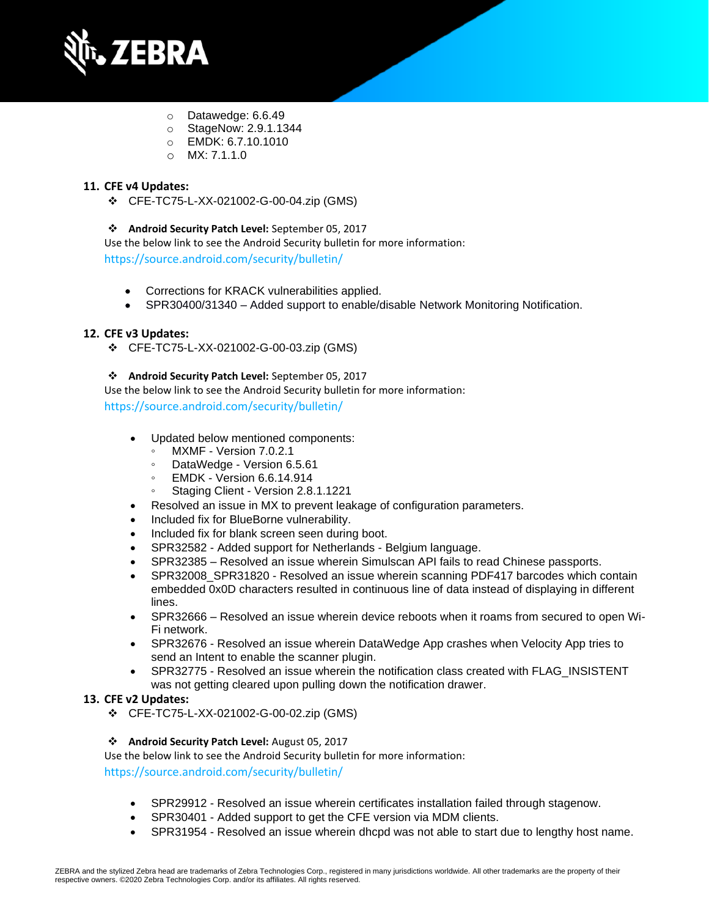

- o Datawedge: 6.6.49
- o StageNow: 2.9.1.1344
- o EMDK: 6.7.10.1010
- o MX: 7.1.1.0

## **11. CFE v4 Updates:**

❖ CFE-TC75-L-XX-021002-G-00-04.zip (GMS)

### ❖ **Android Security Patch Level:** September 05, 2017

Use the below link to see the Android Security bulletin for more information: <https://source.android.com/security/bulletin/>

- Corrections for KRACK vulnerabilities applied.
- SPR30400/31340 Added support to enable/disable Network Monitoring Notification.

### **12. CFE v3 Updates:**

❖ CFE-TC75-L-XX-021002-G-00-03.zip (GMS)

#### ❖ **Android Security Patch Level:** September 05, 2017

Use the below link to see the Android Security bulletin for more information: <https://source.android.com/security/bulletin/>

- Updated below mentioned components:
	- MXMF Version 7.0.2.1
	- DataWedge Version 6.5.61
	- EMDK Version 6.6.14.914
	- Staging Client Version 2.8.1.1221
- Resolved an issue in MX to prevent leakage of configuration parameters.
- Included fix for BlueBorne vulnerability.
- Included fix for blank screen seen during boot.
- SPR32582 Added support for Netherlands Belgium language.
- SPR32385 Resolved an issue wherein Simulscan API fails to read Chinese passports.
- SPR32008 SPR31820 Resolved an issue wherein scanning PDF417 barcodes which contain embedded 0x0D characters resulted in continuous line of data instead of displaying in different lines.
- SPR32666 Resolved an issue wherein device reboots when it roams from secured to open Wi-Fi network.
- SPR32676 Resolved an issue wherein DataWedge App crashes when Velocity App tries to send an Intent to enable the scanner plugin.
- SPR32775 Resolved an issue wherein the notification class created with FLAG\_INSISTENT was not getting cleared upon pulling down the notification drawer.

#### **13. CFE v2 Updates:**

❖ CFE-TC75-L-XX-021002-G-00-02.zip (GMS)

#### ❖ **Android Security Patch Level:** August 05, 2017

Use the below link to see the Android Security bulletin for more information:

<https://source.android.com/security/bulletin/>

- SPR29912 Resolved an issue wherein certificates installation failed through stagenow.
- SPR30401 Added support to get the CFE version via MDM clients.
- SPR31954 Resolved an issue wherein dhcpd was not able to start due to lengthy host name.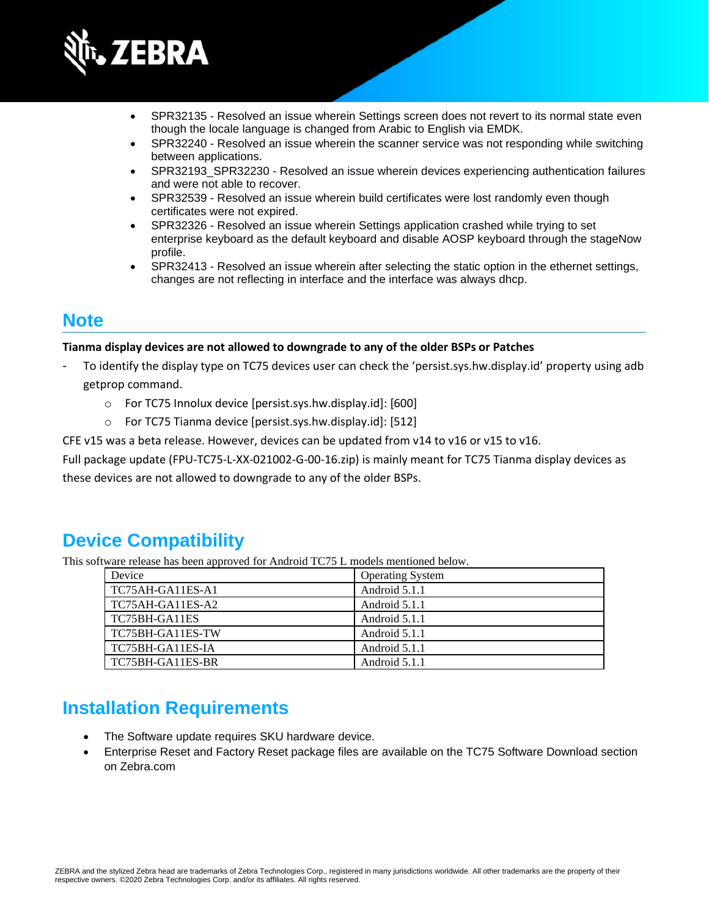

- SPR32135 Resolved an issue wherein Settings screen does not revert to its normal state even though the locale language is changed from Arabic to English via EMDK.
- SPR32240 Resolved an issue wherein the scanner service was not responding while switching between applications.
- SPR32193\_SPR32230 Resolved an issue wherein devices experiencing authentication failures and were not able to recover.
- SPR32539 Resolved an issue wherein build certificates were lost randomly even though certificates were not expired.
- SPR32326 Resolved an issue wherein Settings application crashed while trying to set enterprise keyboard as the default keyboard and disable AOSP keyboard through the stageNow profile.
- SPR32413 Resolved an issue wherein after selecting the static option in the ethernet settings, changes are not reflecting in interface and the interface was always dhcp.

## **Note**

### **Tianma display devices are not allowed to downgrade to any of the older BSPs or Patches**

- To identify the display type on TC75 devices user can check the 'persist.sys.hw.display.id' property using adb getprop command.
	- o For TC75 Innolux device [persist.sys.hw.display.id]: [600]
	- o For TC75 Tianma device [persist.sys.hw.display.id]: [512]

CFE v15 was a beta release. However, devices can be updated from v14 to v16 or v15 to v16.

Full package update (FPU-TC75-L-XX-021002-G-00-16.zip) is mainly meant for TC75 Tianma display devices as these devices are not allowed to downgrade to any of the older BSPs.

## **Device Compatibility**

This software release has been approved for Android TC75 L models mentioned below.

| Device           | <b>Operating System</b> |
|------------------|-------------------------|
| TC75AH-GA11ES-A1 | Android 5.1.1           |
| TC75AH-GA11ES-A2 | Android 5.1.1           |
| TC75BH-GA11ES    | Android 5.1.1           |
| TC75BH-GA11ES-TW | Android 5.1.1           |
| TC75BH-GA11ES-IA | Android 5.1.1           |
| TC75BH-GA11ES-BR | Android 5.1.1           |

## **Installation Requirements**

- The Software update requires SKU hardware device.
- Enterprise Reset and Factory Reset package files are available on the TC75 Software Download section on Zebra.com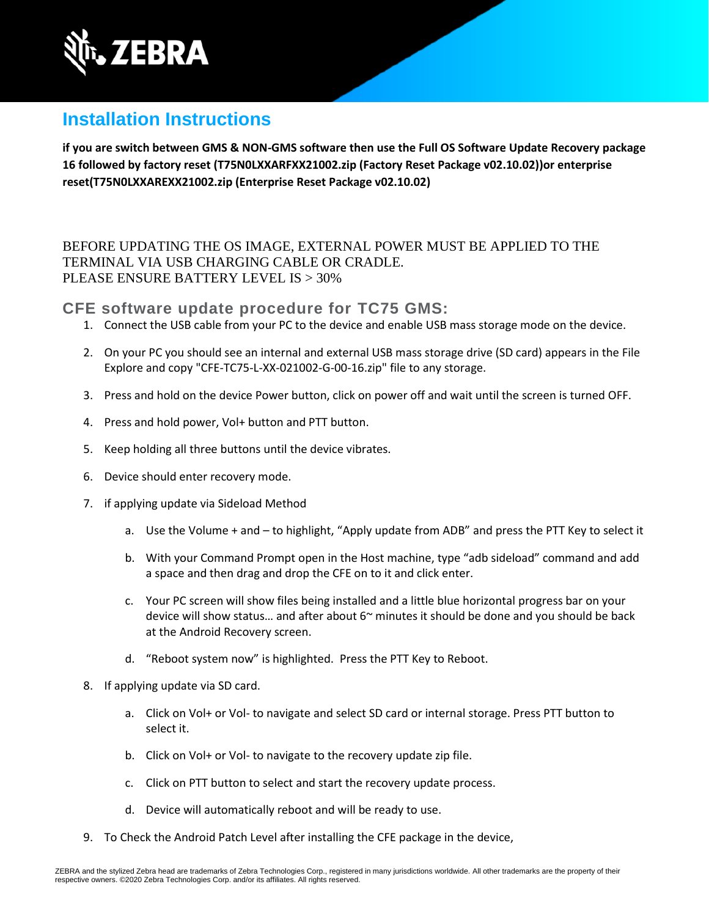

## **Installation Instructions**

**if you are switch between GMS & NON-GMS software then use the Full OS Software Update Recovery package 16 followed by factory reset (T75N0LXXARFXX21002.zip (Factory Reset Package v02.10.02))or enterprise reset(T75N0LXXAREXX21002.zip (Enterprise Reset Package v02.10.02)**

BEFORE UPDATING THE OS IMAGE, EXTERNAL POWER MUST BE APPLIED TO THE TERMINAL VIA USB CHARGING CABLE OR CRADLE. PLEASE ENSURE BATTERY LEVEL IS > 30%

**CFE software update procedure for TC75 GMS:**

- 1. Connect the USB cable from your PC to the device and enable USB mass storage mode on the device.
- 2. On your PC you should see an internal and external USB mass storage drive (SD card) appears in the File Explore and copy "CFE-TC75-L-XX-021002-G-00-16.zip" file to any storage.
- 3. Press and hold on the device Power button, click on power off and wait until the screen is turned OFF.
- 4. Press and hold power, Vol+ button and PTT button.
- 5. Keep holding all three buttons until the device vibrates.
- 6. Device should enter recovery mode.
- 7. if applying update via Sideload Method
	- a. Use the Volume + and to highlight, "Apply update from ADB" and press the PTT Key to select it
	- b. With your Command Prompt open in the Host machine, type "adb sideload" command and add a space and then drag and drop the CFE on to it and click enter.
	- c. Your PC screen will show files being installed and a little blue horizontal progress bar on your device will show status... and after about  $6<sup>o</sup>$  minutes it should be done and you should be back at the Android Recovery screen.
	- d. "Reboot system now" is highlighted. Press the PTT Key to Reboot.
- 8. If applying update via SD card.
	- a. Click on Vol+ or Vol- to navigate and select SD card or internal storage. Press PTT button to select it.
	- b. Click on Vol+ or Vol- to navigate to the recovery update zip file.
	- c. Click on PTT button to select and start the recovery update process.
	- d. Device will automatically reboot and will be ready to use.
- 9. To Check the Android Patch Level after installing the CFE package in the device,